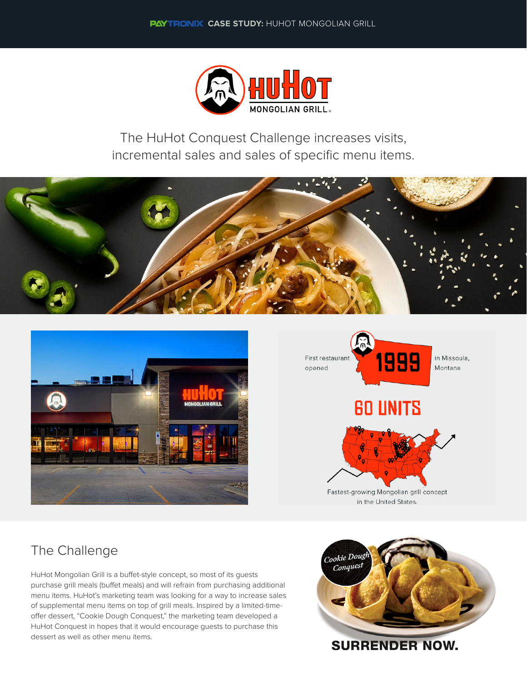

The HuHot Conquest Challenge increases visits, incremental sales and sales of specific menu items.





1999 in Missoula, First restaurant opened Montana **60 UNITS** Fastest-growing Mongolian grill concept

in the United States.

### The Challenge

HuHot Mongolian Grill is a buffet-style concept, so most of its guests purchase grill meals (buffet meals) and will refrain from purchasing additional menu items. HuHot's marketing team was looking for a way to increase sales of supplemental menu items on top of grill meals. Inspired by a limited-timeoffer dessert, "Cookie Dough Conquest," the marketing team developed a HuHot Conquest in hopes that it would encourage guests to purchase this dessert as well as other menu items.